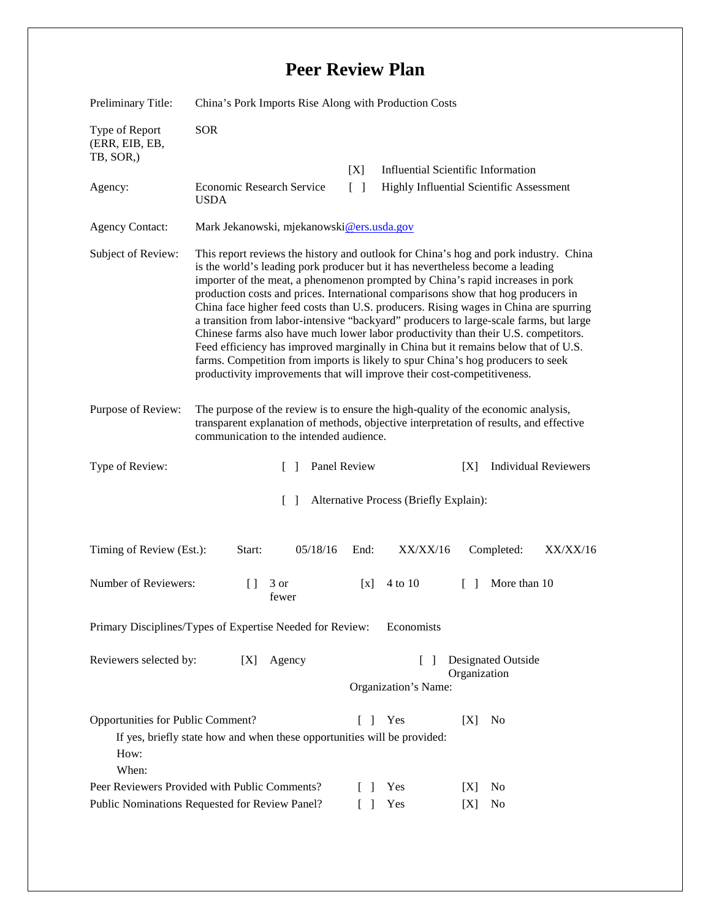## **Peer Review Plan**

| Preliminary Title:                                                                                                                                           | China's Pork Imports Rise Along with Production Costs                                                                                                                                                                                                                                                                                                                                                                                                                                                                                                                                                                                                                                                                                                                                                                                                                    |               |                                                                             |                                          |                                           |          |
|--------------------------------------------------------------------------------------------------------------------------------------------------------------|--------------------------------------------------------------------------------------------------------------------------------------------------------------------------------------------------------------------------------------------------------------------------------------------------------------------------------------------------------------------------------------------------------------------------------------------------------------------------------------------------------------------------------------------------------------------------------------------------------------------------------------------------------------------------------------------------------------------------------------------------------------------------------------------------------------------------------------------------------------------------|---------------|-----------------------------------------------------------------------------|------------------------------------------|-------------------------------------------|----------|
| Type of Report<br>(ERR, EIB, EB,<br>TB, SOR,)                                                                                                                | <b>SOR</b>                                                                                                                                                                                                                                                                                                                                                                                                                                                                                                                                                                                                                                                                                                                                                                                                                                                               |               |                                                                             |                                          |                                           |          |
|                                                                                                                                                              |                                                                                                                                                                                                                                                                                                                                                                                                                                                                                                                                                                                                                                                                                                                                                                                                                                                                          |               | [X]                                                                         |                                          | <b>Influential Scientific Information</b> |          |
| Agency:                                                                                                                                                      | Economic Research Service<br><b>USDA</b>                                                                                                                                                                                                                                                                                                                                                                                                                                                                                                                                                                                                                                                                                                                                                                                                                                 |               | $\lceil \; \rceil$                                                          | Highly Influential Scientific Assessment |                                           |          |
| <b>Agency Contact:</b>                                                                                                                                       | Mark Jekanowski, mjekanowski@ers.usda.gov                                                                                                                                                                                                                                                                                                                                                                                                                                                                                                                                                                                                                                                                                                                                                                                                                                |               |                                                                             |                                          |                                           |          |
| Subject of Review:                                                                                                                                           | This report reviews the history and outlook for China's hog and pork industry. China<br>is the world's leading pork producer but it has nevertheless become a leading<br>importer of the meat, a phenomenon prompted by China's rapid increases in pork<br>production costs and prices. International comparisons show that hog producers in<br>China face higher feed costs than U.S. producers. Rising wages in China are spurring<br>a transition from labor-intensive "backyard" producers to large-scale farms, but large<br>Chinese farms also have much lower labor productivity than their U.S. competitors.<br>Feed efficiency has improved marginally in China but it remains below that of U.S.<br>farms. Competition from imports is likely to spur China's hog producers to seek<br>productivity improvements that will improve their cost-competitiveness. |               |                                                                             |                                          |                                           |          |
| Purpose of Review:                                                                                                                                           | The purpose of the review is to ensure the high-quality of the economic analysis,<br>transparent explanation of methods, objective interpretation of results, and effective<br>communication to the intended audience.                                                                                                                                                                                                                                                                                                                                                                                                                                                                                                                                                                                                                                                   |               |                                                                             |                                          |                                           |          |
| Type of Review:<br>$\Box$                                                                                                                                    |                                                                                                                                                                                                                                                                                                                                                                                                                                                                                                                                                                                                                                                                                                                                                                                                                                                                          | Panel Review  | <b>Individual Reviewers</b><br>[X]                                          |                                          |                                           |          |
| $\Box$<br>Alternative Process (Briefly Explain):                                                                                                             |                                                                                                                                                                                                                                                                                                                                                                                                                                                                                                                                                                                                                                                                                                                                                                                                                                                                          |               |                                                                             |                                          |                                           |          |
| Timing of Review (Est.):                                                                                                                                     | Start:                                                                                                                                                                                                                                                                                                                                                                                                                                                                                                                                                                                                                                                                                                                                                                                                                                                                   | 05/18/16      | End:                                                                        | XX/XX/16                                 | Completed:                                | XX/XX/16 |
| Number of Reviewers:                                                                                                                                         | $\Box$                                                                                                                                                                                                                                                                                                                                                                                                                                                                                                                                                                                                                                                                                                                                                                                                                                                                   | 3 or<br>fewer | $\lceil x \rceil$                                                           | 4 to 10                                  | More than 10<br>$\Box$                    |          |
| Primary Disciplines/Types of Expertise Needed for Review:<br>Economists                                                                                      |                                                                                                                                                                                                                                                                                                                                                                                                                                                                                                                                                                                                                                                                                                                                                                                                                                                                          |               |                                                                             |                                          |                                           |          |
| Reviewers selected by:<br>[X]                                                                                                                                |                                                                                                                                                                                                                                                                                                                                                                                                                                                                                                                                                                                                                                                                                                                                                                                                                                                                          | Agency        | <b>Designated Outside</b><br>$\Box$<br>Organization<br>Organization's Name: |                                          |                                           |          |
| Opportunities for Public Comment?<br>Yes<br>No<br>$\Box$<br>[X]<br>If yes, briefly state how and when these opportunities will be provided:<br>How:<br>When: |                                                                                                                                                                                                                                                                                                                                                                                                                                                                                                                                                                                                                                                                                                                                                                                                                                                                          |               |                                                                             |                                          |                                           |          |
| Peer Reviewers Provided with Public Comments?                                                                                                                |                                                                                                                                                                                                                                                                                                                                                                                                                                                                                                                                                                                                                                                                                                                                                                                                                                                                          |               | $\mathbf{I}$                                                                | Yes                                      | No<br>[X]                                 |          |
| Public Nominations Requested for Review Panel?                                                                                                               |                                                                                                                                                                                                                                                                                                                                                                                                                                                                                                                                                                                                                                                                                                                                                                                                                                                                          |               | $\lceil$ 1                                                                  | Yes                                      | No<br>[X]                                 |          |